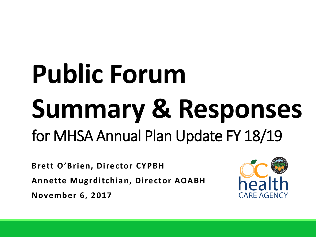# **Public Forum Summary & Responses** for MHSA Annual Plan Update FY 18/19

**Brett O'Brien, Director CYPBH Annette Mugrditchian, Director AOABH November 6, 2017**

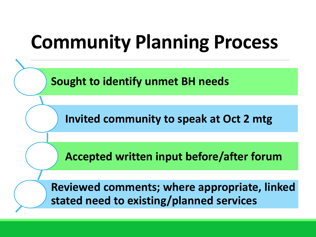# **Community Planning Process**

**Sought to identify unmet BH needs**

**Invited community to speak at Oct 2 mtg**

**Accepted written input before/after forum**

**Reviewed comments; where appropriate, linked stated need to existing/planned services**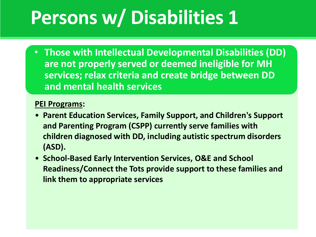# **Persons w/ Disabilities 1**

• **Those with Intellectual Developmental Disabilities (DD) are not properly served or deemed ineligible for MH services; relax criteria and create bridge between DD and mental health services**

- **Parent Education Services, Family Support, and Children's Support and Parenting Program (CSPP) currently serve families with children diagnosed with DD, including autistic spectrum disorders (ASD).**
- **School-Based Early Intervention Services, O&E and School Readiness/Connect the Tots provide support to these families and link them to appropriate services**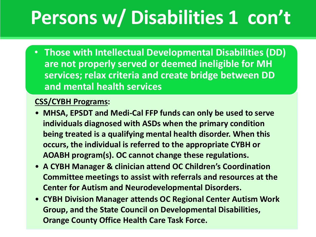# **Persons w/ Disabilities 1 con't**

• **Those with Intellectual Developmental Disabilities (DD) are not properly served or deemed ineligible for MH services; relax criteria and create bridge between DD and mental health services**

#### **CSS/CYBH Programs:**

- **MHSA, EPSDT and Medi-Cal FFP funds can only be used to serve individuals diagnosed with ASDs when the primary condition being treated is a qualifying mental health disorder. When this occurs, the individual is referred to the appropriate CYBH or AOABH program(s). OC cannot change these regulations.**
- **A CYBH Manager & clinician attend OC Children's Coordination Committee meetings to assist with referrals and resources at the Center for Autism and Neurodevelopmental Disorders.**
- **CYBH Division Manager attends OC Regional Center Autism Work Group, and the State Council on Developmental Disabilities, Orange County Office Health Care Task Force.**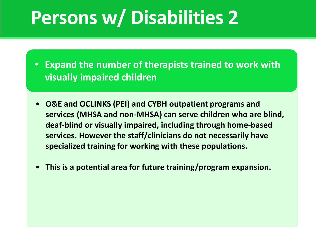### **Persons w/ Disabilities 2**

• **Expand the number of therapists trained to work with visually impaired children**

- **O&E and OCLINKS (PEI) and CYBH outpatient programs and services (MHSA and non-MHSA) can serve children who are blind, deaf-blind or visually impaired, including through home-based services. However the staff/clinicians do not necessarily have specialized training for working with these populations.**
- **This is a potential area for future training/program expansion.**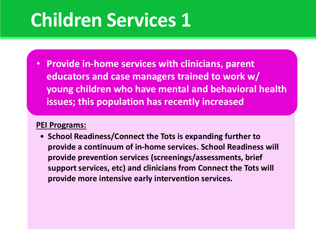### **Children Services 1**

• **Provide in-home services with clinicians, parent educators and case managers trained to work w/ young children who have mental and behavioral health issues; this population has recently increased** 

#### **PEI Programs:**

• **School Readiness/Connect the Tots is expanding further to provide a continuum of in-home services. School Readiness will provide prevention services (screenings/assessments, brief support services, etc) and clinicians from Connect the Tots will provide more intensive early intervention services.**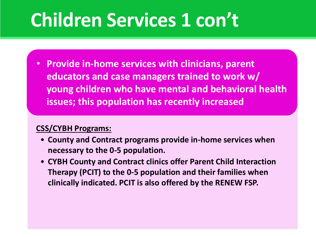• **Provide in-home services with clinicians, parent educators and case managers trained to work w/ young children who have mental and behavioral health issues; this population has recently increased** 

#### **CSS/CYBH Programs:**

- **County and Contract programs provide in-home services when necessary to the 0-5 population.**
- **CYBH County and Contract clinics offer Parent Child Interaction Therapy (PCIT) to the 0-5 population and their families when clinically indicated. PCIT is also offered by the RENEW FSP.**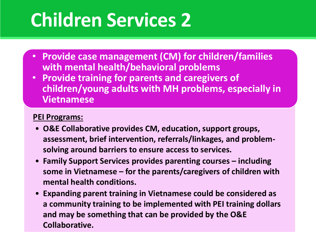# **Children Services 2**

- **Provide case management (CM) for children/families with mental health/behavioral problems**
- **Provide training for parents and caregivers of children/young adults with MH problems, especially in Vietnamese**

- **O&E Collaborative provides CM, education, support groups, assessment, brief intervention, referrals/linkages, and problemsolving around barriers to ensure access to services.**
- **Family Support Services provides parenting courses – including some in Vietnamese – for the parents/caregivers of children with mental health conditions.**
- **Expanding parent training in Vietnamese could be considered as a community training to be implemented with PEI training dollars and may be something that can be provided by the O&E Collaborative.**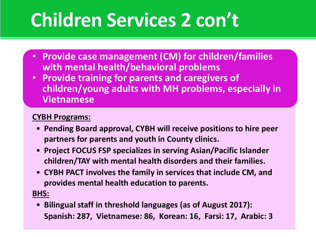- **Provide case management (CM) for children/families with mental health/behavioral problems**
- **Provide training for parents and caregivers of children/young adults with MH problems, especially in Vietnamese**

#### **CYBH Programs:**

- **Pending Board approval, CYBH will receive positions to hire peer partners for parents and youth in County clinics.**
- **Project FOCUS FSP specializes in serving Asian/Pacific Islander children/TAY with mental health disorders and their families.**
- **CYBH PACT involves the family in services that include CM, and provides mental health education to parents.**

### **BHS:**

• **Bilingual staff in threshold languages (as of August 2017): Spanish: 287, Vietnamese: 86, Korean: 16, Farsi: 17, Arabic: 3**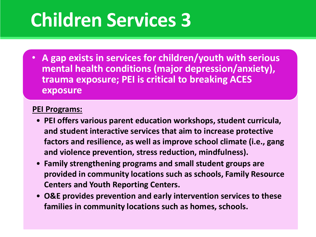### **Children Services 3**

• **A gap exists in services for children/youth with serious mental health conditions (major depression/anxiety), trauma exposure; PEI is critical to breaking ACES exposure**

- **PEI offers various parent education workshops, student curricula, and student interactive services that aim to increase protective factors and resilience, as well as improve school climate (i.e., gang and violence prevention, stress reduction, mindfulness).**
- **Family strengthening programs and small student groups are provided in community locations such as schools, Family Resource Centers and Youth Reporting Centers.**
- **O&E provides prevention and early intervention services to these families in community locations such as homes, schools.**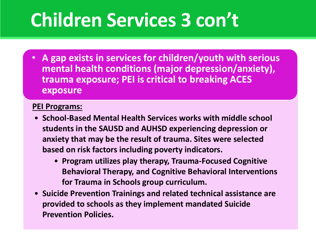• **A gap exists in services for children/youth with serious mental health conditions (major depression/anxiety), trauma exposure; PEI is critical to breaking ACES exposure**

- **School-Based Mental Health Services works with middle school students in the SAUSD and AUHSD experiencing depression or anxiety that may be the result of trauma. Sites were selected based on risk factors including poverty indicators.** 
	- **Program utilizes play therapy, Trauma-Focused Cognitive Behavioral Therapy, and Cognitive Behavioral Interventions for Trauma in Schools group curriculum.**
- **Suicide Prevention Trainings and related technical assistance are provided to schools as they implement mandated Suicide Prevention Policies.**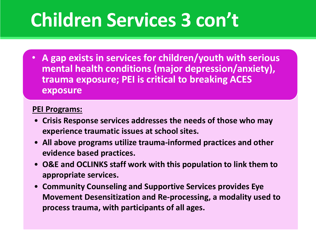• **A gap exists in services for children/youth with serious mental health conditions (major depression/anxiety), trauma exposure; PEI is critical to breaking ACES exposure**

- **Crisis Response services addresses the needs of those who may experience traumatic issues at school sites.**
- **All above programs utilize trauma-informed practices and other evidence based practices.**
- **O&E and OCLINKS staff work with this population to link them to appropriate services.**
- **Community Counseling and Supportive Services provides Eye Movement Desensitization and Re-processing, a modality used to process trauma, with participants of all ages.**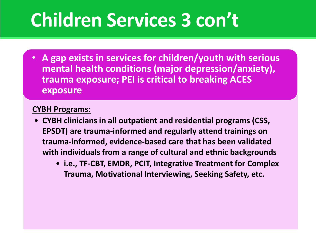• **A gap exists in services for children/youth with serious mental health conditions (major depression/anxiety), trauma exposure; PEI is critical to breaking ACES exposure**

#### **CYBH Programs:**

- **CYBH clinicians in all outpatient and residential programs (CSS, EPSDT) are trauma-informed and regularly attend trainings on trauma-informed, evidence-based care that has been validated with individuals from a range of cultural and ethnic backgrounds**
	- **i.e., TF-CBT, EMDR, PCIT, Integrative Treatment for Complex Trauma, Motivational Interviewing, Seeking Safety, etc.**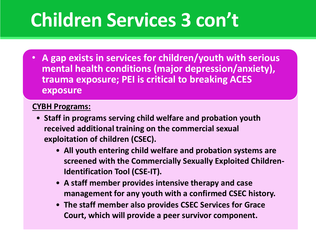• **A gap exists in services for children/youth with serious mental health conditions (major depression/anxiety), trauma exposure; PEI is critical to breaking ACES exposure**

#### **CYBH Programs:**

- **Staff in programs serving child welfare and probation youth received additional training on the commercial sexual exploitation of children (CSEC).** 
	- **All youth entering child welfare and probation systems are screened with the Commercially Sexually Exploited Children-Identification Tool (CSE-IT).**
	- **A staff member provides intensive therapy and case management for any youth with a confirmed CSEC history.**
	- **The staff member also provides CSEC Services for Grace Court, which will provide a peer survivor component.**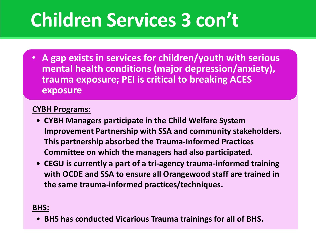• **A gap exists in services for children/youth with serious mental health conditions (major depression/anxiety), trauma exposure; PEI is critical to breaking ACES exposure**

#### **CYBH Programs:**

- **CYBH Managers participate in the Child Welfare System Improvement Partnership with SSA and community stakeholders. This partnership absorbed the Trauma-Informed Practices Committee on which the managers had also participated.**
- **CEGU is currently a part of a tri-agency trauma-informed training with OCDE and SSA to ensure all Orangewood staff are trained in the same trauma-informed practices/techniques.**

#### **BHS:**

• **BHS has conducted Vicarious Trauma trainings for all of BHS.**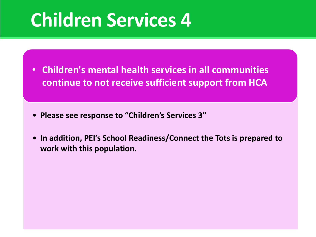### **Children Services 4**

- **Children's mental health services in all communities continue to not receive sufficient support from HCA**
- **Please see response to "Children's Services 3"**
- **In addition, PEI's School Readiness/Connect the Tots is prepared to work with this population.**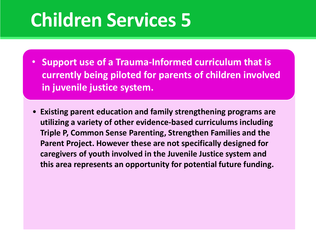### **Children Services 5**

- **Support use of a Trauma-Informed curriculum that is currently being piloted for parents of children involved in juvenile justice system.**
- **Existing parent education and family strengthening programs are utilizing a variety of other evidence-based curriculums including Triple P, Common Sense Parenting, Strengthen Families and the Parent Project. However these are not specifically designed for caregivers of youth involved in the Juvenile Justice system and this area represents an opportunity for potential future funding.**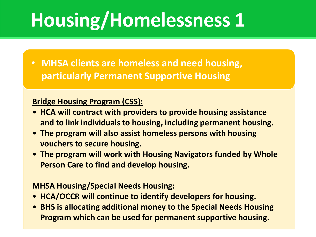# **Housing/Homelessness 1**

• **MHSA clients are homeless and need housing, particularly Permanent Supportive Housing**

### **Bridge Housing Program (CSS):**

- **HCA will contract with providers to provide housing assistance and to link individuals to housing, including permanent housing.**
- **The program will also assist homeless persons with housing vouchers to secure housing.**
- **The program will work with Housing Navigators funded by Whole Person Care to find and develop housing.**

### **MHSA Housing/Special Needs Housing:**

- **HCA/OCCR will continue to identify developers for housing.**
- **BHS is allocating additional money to the Special Needs Housing Program which can be used for permanent supportive housing.**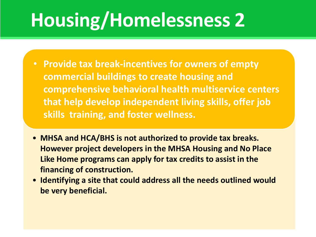# **Housing/Homelessness 2**

- **Provide tax break-incentives for owners of empty commercial buildings to create housing and comprehensive behavioral health multiservice centers that help develop independent living skills, offer job skills training, and foster wellness.**
- **MHSA and HCA/BHS is not authorized to provide tax breaks. However project developers in the MHSA Housing and No Place Like Home programs can apply for tax credits to assist in the financing of construction.**
- **Identifying a site that could address all the needs outlined would be very beneficial.**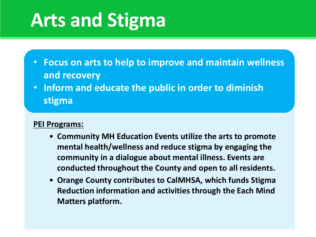### **Arts and Stigma**

- **Focus on arts to help to improve and maintain wellness and recovery**
- **Inform and educate the public in order to diminish stigma**

- **Community MH Education Events utilize the arts to promote mental health/wellness and reduce stigma by engaging the community in a dialogue about mental illness. Events are conducted throughout the County and open to all residents.**
- **Orange County contributes to CalMHSA, which funds Stigma Reduction information and activities through the Each Mind Matters platform.**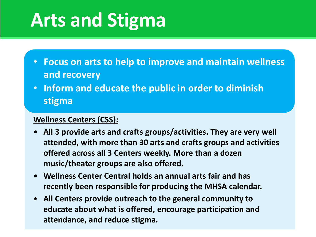### **Arts and Stigma**

- **Focus on arts to help to improve and maintain wellness and recovery**
- **Inform and educate the public in order to diminish stigma**

### **Wellness Centers (CSS):**

- **All 3 provide arts and crafts groups/activities. They are very well attended, with more than 30 arts and crafts groups and activities offered across all 3 Centers weekly. More than a dozen music/theater groups are also offered.**
- **Wellness Center Central holds an annual arts fair and has recently been responsible for producing the MHSA calendar.**
- **All Centers provide outreach to the general community to educate about what is offered, encourage participation and attendance, and reduce stigma.**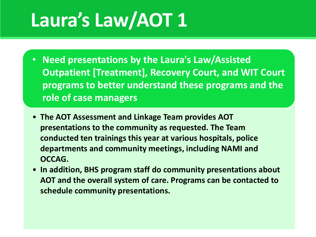# **Laura's Law/AOT 1**

- **Need presentations by the Laura's Law/Assisted Outpatient [Treatment], Recovery Court, and WIT Court programs to better understand these programs and the role of case managers**
- **The AOT Assessment and Linkage Team provides AOT presentations to the community as requested. The Team conducted ten trainings this year at various hospitals, police departments and community meetings, including NAMI and OCCAG.**
- **In addition, BHS program staff do community presentations about AOT and the overall system of care. Programs can be contacted to schedule community presentations.**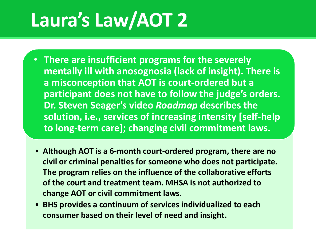# **Laura's Law/AOT 2**

- **There are insufficient programs for the severely mentally ill with anosognosia (lack of insight). There is a misconception that AOT is court-ordered but a participant does not have to follow the judge's orders. Dr. Steven Seager's video** *Roadmap* **describes the solution, i.e., services of increasing intensity [self-help to long-term care]; changing civil commitment laws.**
- **Although AOT is a 6-month court-ordered program, there are no civil or criminal penalties for someone who does not participate. The program relies on the influence of the collaborative efforts of the court and treatment team. MHSA is not authorized to change AOT or civil commitment laws.**
- **BHS provides a continuum of services individualized to each consumer based on their level of need and insight.**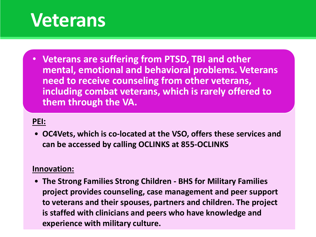### **Veterans**

• **Veterans are suffering from PTSD, TBI and other mental, emotional and behavioral problems. Veterans need to receive counseling from other veterans, including combat veterans, which is rarely offered to them through the VA.**

#### **PEI:**

• **OC4Vets, which is co-located at the VSO, offers these services and can be accessed by calling OCLINKS at 855-OCLINKS**

#### **Innovation:**

• **The Strong Families Strong Children - BHS for Military Families project provides counseling, case management and peer support to veterans and their spouses, partners and children. The project is staffed with clinicians and peers who have knowledge and experience with military culture.**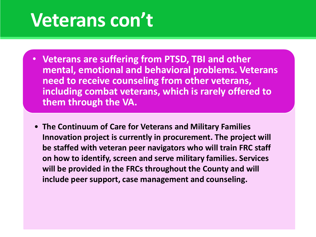### **Veterans con't**

- **Veterans are suffering from PTSD, TBI and other mental, emotional and behavioral problems. Veterans need to receive counseling from other veterans, including combat veterans, which is rarely offered to them through the VA.**
- **The Continuum of Care for Veterans and Military Families Innovation project is currently in procurement. The project will be staffed with veteran peer navigators who will train FRC staff on how to identify, screen and serve military families. Services will be provided in the FRCs throughout the County and will include peer support, case management and counseling.**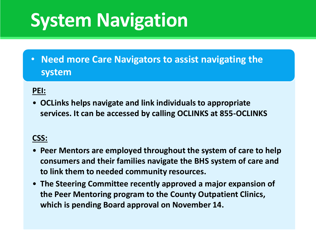# **System Navigation**

• **Need more Care Navigators to assist navigating the system** 

### **PEI:**

• **OCLinks helps navigate and link individuals to appropriate services. It can be accessed by calling OCLINKS at 855-OCLINKS**

### **CSS:**

- **Peer Mentors are employed throughout the system of care to help consumers and their families navigate the BHS system of care and to link them to needed community resources.**
- **The Steering Committee recently approved a major expansion of the Peer Mentoring program to the County Outpatient Clinics, which is pending Board approval on November 14.**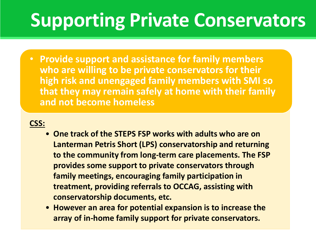# **Supporting Private Conservators**

• **Provide support and assistance for family members who are willing to be private conservators for their high risk and unengaged family members with SMI so that they may remain safely at home with their family and not become homeless**

### **CSS:**

- **One track of the STEPS FSP works with adults who are on Lanterman Petris Short (LPS) conservatorship and returning to the community from long-term care placements. The FSP provides some support to private conservators through family meetings, encouraging family participation in treatment, providing referrals to OCCAG, assisting with conservatorship documents, etc.**
- **However an area for potential expansion is to increase the array of in-home family support for private conservators.**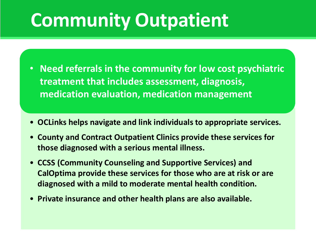# **Community Outpatient**

- **Need referrals in the community for low cost psychiatric treatment that includes assessment, diagnosis, medication evaluation, medication management**
- **OCLinks helps navigate and link individuals to appropriate services.**
- **County and Contract Outpatient Clinics provide these services for those diagnosed with a serious mental illness.**
- **CCSS (Community Counseling and Supportive Services) and CalOptima provide these services for those who are at risk or are diagnosed with a mild to moderate mental health condition.**
- **Private insurance and other health plans are also available.**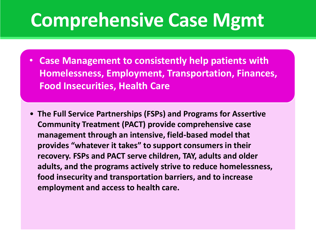### **Comprehensive Case Mgmt**

- **Case Management to consistently help patients with Homelessness, Employment, Transportation, Finances, Food Insecurities, Health Care**
- **The Full Service Partnerships (FSPs) and Programs for Assertive Community Treatment (PACT) provide comprehensive case management through an intensive, field-based model that provides "whatever it takes" to support consumers in their recovery. FSPs and PACT serve children, TAY, adults and older adults, and the programs actively strive to reduce homelessness, food insecurity and transportation barriers, and to increase employment and access to health care.**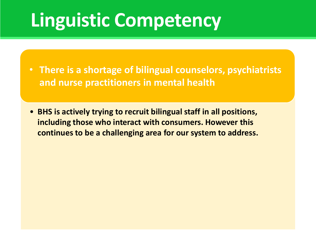# **Linguistic Competency**

- **There is a shortage of bilingual counselors, psychiatrists and nurse practitioners in mental health**
- **BHS is actively trying to recruit bilingual staff in all positions, including those who interact with consumers. However this continues to be a challenging area for our system to address.**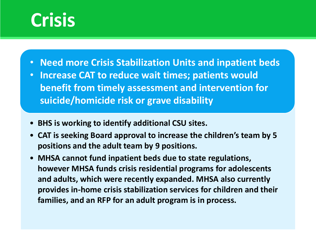### **Crisis**

- **Need more Crisis Stabilization Units and inpatient beds**
- **Increase CAT to reduce wait times; patients would benefit from timely assessment and intervention for suicide/homicide risk or grave disability**
- **BHS is working to identify additional CSU sites.**
- **CAT is seeking Board approval to increase the children's team by 5 positions and the adult team by 9 positions.**
- **MHSA cannot fund inpatient beds due to state regulations, however MHSA funds crisis residential programs for adolescents and adults, which were recently expanded. MHSA also currently provides in-home crisis stabilization services for children and their families, and an RFP for an adult program is in process.**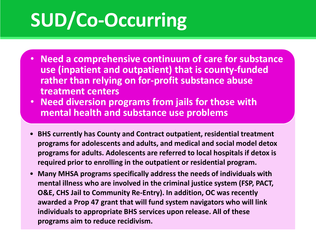# **SUD/Co-Occurring**

- **Need a comprehensive continuum of care for substance use (inpatient and outpatient) that is county-funded rather than relying on for-profit substance abuse treatment centers**
- **Need diversion programs from jails for those with mental health and substance use problems**
- **BHS currently has County and Contract outpatient, residential treatment programs for adolescents and adults, and medical and social model detox programs for adults. Adolescents are referred to local hospitals if detox is required prior to enrolling in the outpatient or residential program.**
- **Many MHSA programs specifically address the needs of individuals with mental illness who are involved in the criminal justice system (FSP, PACT, O&E, CHS Jail to Community Re-Entry). In addition, OC was recently awarded a Prop 47 grant that will fund system navigators who will link individuals to appropriate BHS services upon release. All of these programs aim to reduce recidivism.**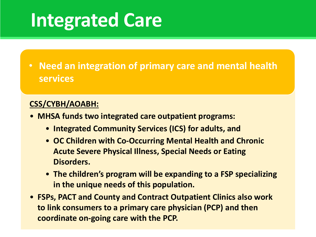### **Integrated Care**

• **Need an integration of primary care and mental health services**

### **CSS/CYBH/AOABH:**

- **MHSA funds two integrated care outpatient programs:**
	- **Integrated Community Services (ICS) for adults, and**
	- **OC Children with Co-Occurring Mental Health and Chronic Acute Severe Physical Illness, Special Needs or Eating Disorders.**
	- **The children's program will be expanding to a FSP specializing in the unique needs of this population.**
- **FSPs, PACT and County and Contract Outpatient Clinics also work to link consumers to a primary care physician (PCP) and then coordinate on-going care with the PCP.**